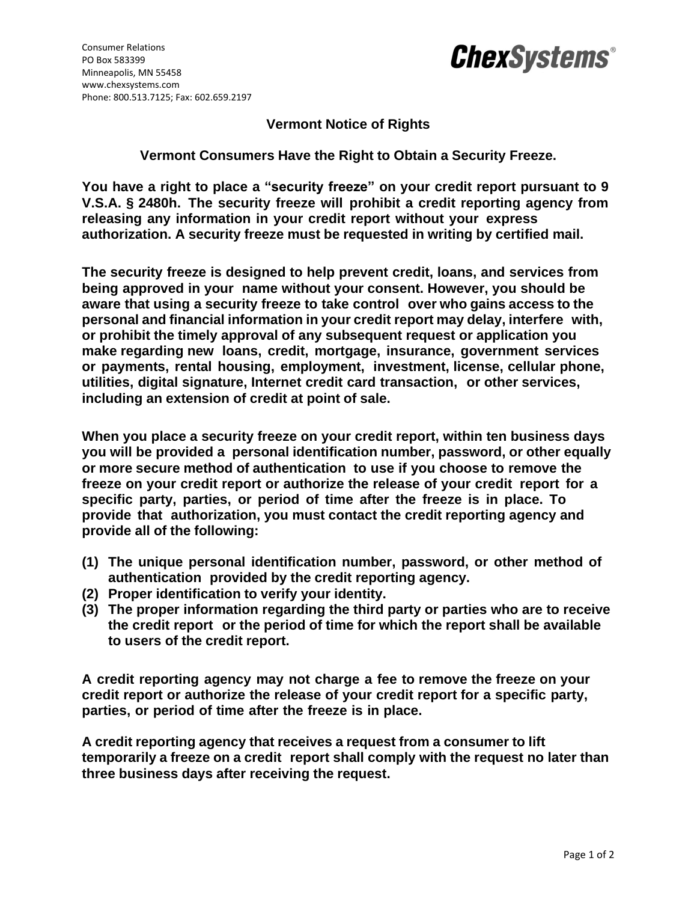

## **Vermont Notice of Rights**

**Vermont Consumers Have the Right to Obtain a Security Freeze.**

**You have a right to place a "security freeze" on your credit report pursuant to 9 V.S.A. § 2480h. The security freeze will prohibit a credit reporting agency from releasing any information in your credit report without your express authorization. A security freeze must be requested in writing by certified mail.**

**The security freeze is designed to help prevent credit, loans, and services from being approved in your name without your consent. However, you should be aware that using a security freeze to take control over who gains access to the personal and financial information in your credit report may delay, interfere with, or prohibit the timely approval of any subsequent request or application you make regarding new loans, credit, mortgage, insurance, government services or payments, rental housing, employment, investment, license, cellular phone, utilities, digital signature, Internet credit card transaction, or other services, including an extension of credit at point of sale.**

**When you place a security freeze on your credit report, within ten business days you will be provided a personal identification number, password, or other equally or more secure method of authentication to use if you choose to remove the freeze on your credit report or authorize the release of your credit report for a specific party, parties, or period of time after the freeze is in place. To provide that authorization, you must contact the credit reporting agency and provide all of the following:**

- **(1) The unique personal identification number, password, or other method of authentication provided by the credit reporting agency.**
- **(2) Proper identification to verify your identity.**
- **(3) The proper information regarding the third party or parties who are to receive the credit report or the period of time for which the report shall be available to users of the credit report.**

**A credit reporting agency may not charge a fee to remove the freeze on your credit report or authorize the release of your credit report for a specific party, parties, or period of time after the freeze is in place.**

**A credit reporting agency that receives a request from a consumer to lift temporarily a freeze on a credit report shall comply with the request no later than three business days after receiving the request.**